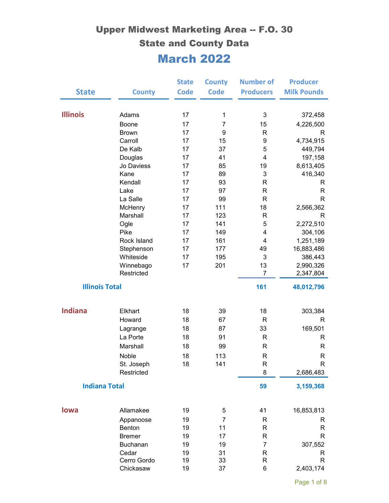|                       |                          | <b>State</b> | <b>County</b>  | <b>Number of</b> | <b>Producer</b><br><b>Milk Pounds</b> |
|-----------------------|--------------------------|--------------|----------------|------------------|---------------------------------------|
| <b>State</b>          | <b>County</b>            | <b>Code</b>  | <b>Code</b>    | <b>Producers</b> |                                       |
| <b>Illinois</b>       | Adams                    | 17           | $\mathbf{1}$   | 3                | 372,458                               |
|                       | Boone                    | 17           | $\overline{7}$ | 15               | 4,226,500                             |
|                       | <b>Brown</b>             | 17           | 9              | R                | R                                     |
|                       | Carroll                  | 17           | 15             | 9                | 4,734,915                             |
|                       | De Kalb                  | 17           | 37             | 5                | 449,794                               |
|                       | Douglas                  | 17           | 41             | $\overline{4}$   | 197,158                               |
|                       | Jo Daviess               | 17           | 85             | 19               | 8,613,405                             |
|                       | Kane                     | 17           | 89             | 3                | 416,340                               |
|                       | Kendall                  | 17           | 93             | R                | R                                     |
|                       | Lake                     | 17           | 97             | R                | R                                     |
|                       | La Salle                 | 17           | 99             | R                | $\mathsf{R}$                          |
|                       | McHenry                  | 17           | 111            | 18               | 2,566,362                             |
|                       | Marshall                 | 17           | 123            | R                | R                                     |
|                       | Ogle                     | 17           | 141            | 5                | 2,272,510                             |
|                       | Pike                     | 17           | 149            | 4                | 304,106                               |
|                       | Rock Island              | 17           | 161            | 4                | 1,251,189                             |
|                       | Stephenson               | 17           | 177            | 49               | 16,883,486                            |
|                       | Whiteside                | 17           | 195            | $\mathbf{3}$     | 386,443                               |
|                       | Winnebago                | 17           | 201            | 13               | 2,990,326                             |
|                       | Restricted               |              |                | $\overline{7}$   | 2,347,804                             |
| <b>Illinois Total</b> |                          |              |                | 161              | 48,012,796                            |
| <b>Indiana</b>        | Elkhart                  | 18           | 39             | 18               | 303,384                               |
|                       | Howard                   | 18           | 67             | $\mathsf{R}$     | R                                     |
|                       | Lagrange                 | 18           | 87             | 33               | 169,501                               |
|                       | La Porte                 | 18           | 91             | R                | R                                     |
|                       | Marshall                 | 18           | 99             | $\mathsf{R}$     | R                                     |
|                       |                          |              |                |                  |                                       |
|                       | Noble                    | 18           | 113            | R                | R                                     |
|                       | St. Joseph<br>Restricted | 18           | 141            | R<br>8           | R<br>2,686,483                        |
| <b>Indiana Total</b>  |                          |              |                | 59               | 3,159,368                             |
| lowa                  | Allamakee                | 19           | 5              | 41               | 16,853,813                            |
|                       |                          | 19           |                |                  |                                       |
|                       | Appanoose<br>Benton      | 19           | 7<br>11        | R<br>R           | R<br>R                                |
|                       | <b>Bremer</b>            | 19           | 17             | R                | R                                     |
|                       | <b>Buchanan</b>          | 19           | 19             | 7                | 307,552                               |
|                       | Cedar                    | 19           | 31             | R                | R                                     |
|                       | Cerro Gordo              | 19           | 33             | R                | R                                     |
|                       | Chickasaw                | 19           | 37             | 6                | 2,403,174                             |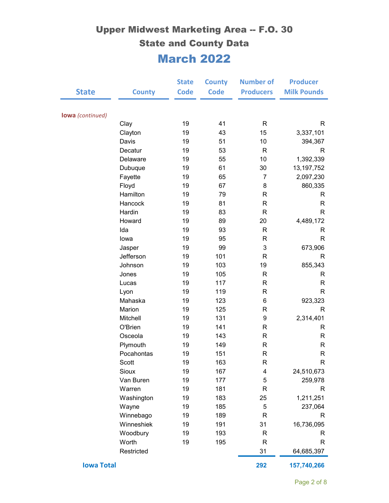| <b>State</b>            | <b>County</b> | <b>State</b><br><b>Code</b> | <b>County</b><br><b>Code</b> | <b>Number of</b><br><b>Producers</b> | <b>Producer</b><br><b>Milk Pounds</b> |
|-------------------------|---------------|-----------------------------|------------------------------|--------------------------------------|---------------------------------------|
|                         |               |                             |                              |                                      |                                       |
| <b>lowa</b> (continued) |               |                             |                              |                                      |                                       |
|                         | Clay          | 19                          | 41                           | $\mathsf{R}$                         | R                                     |
|                         | Clayton       | 19                          | 43                           | 15                                   | 3,337,101                             |
|                         | Davis         | 19                          | 51                           | 10                                   | 394,367                               |
|                         | Decatur       | 19                          | 53                           | $\mathsf{R}$                         | R                                     |
|                         | Delaware      | 19                          | 55                           | 10                                   | 1,392,339                             |
|                         | Dubuque       | 19                          | 61                           | 30                                   | 13, 197, 752                          |
|                         | Fayette       | 19                          | 65                           | $\overline{7}$                       | 2,097,230                             |
|                         | Floyd         | 19                          | 67                           | 8                                    | 860,335                               |
|                         | Hamilton      | 19                          | 79                           | R                                    | R                                     |
|                         | Hancock       | 19                          | 81                           | $\mathsf{R}$                         | R                                     |
|                         | Hardin        | 19                          | 83                           | $\mathsf{R}$                         | $\mathsf{R}$                          |
|                         | Howard        | 19                          | 89                           | 20                                   | 4,489,172                             |
|                         | Ida           | 19                          | 93                           | $\mathsf{R}$                         | R                                     |
|                         | lowa          | 19                          | 95                           | R                                    | $\mathsf{R}$                          |
|                         | Jasper        | 19                          | 99                           | 3                                    | 673,906                               |
|                         | Jefferson     | 19                          | 101                          | $\mathsf{R}$                         | R                                     |
|                         | Johnson       | 19                          | 103                          | 19                                   | 855,343                               |
|                         | Jones         | 19                          | 105                          | $\mathsf{R}$                         | R                                     |
|                         | Lucas         | 19                          | 117                          | R                                    | R                                     |
|                         | Lyon          | 19                          | 119                          | $\mathsf{R}$                         | $\mathsf{R}$                          |
|                         | Mahaska       | 19                          | 123                          | $6\phantom{1}$                       | 923,323                               |
|                         | Marion        | 19                          | 125                          | $\mathsf{R}$                         | R                                     |
|                         | Mitchell      | 19                          | 131                          | 9                                    | 2,314,401                             |
|                         | O'Brien       | 19                          | 141                          | R                                    | R                                     |
|                         | Osceola       | 19                          | 143                          | $\mathsf R$                          | $\mathsf{R}$                          |
|                         | Plymouth      | 19                          | 149                          | R                                    | R                                     |
|                         | Pocahontas    | 19                          | 151                          | R                                    | R                                     |
|                         | Scott         | 19                          | 163                          | ${\sf R}$                            | $\mathsf{R}$                          |
|                         | Sioux         | 19                          | 167                          | 4                                    | 24,510,673                            |
|                         | Van Buren     | 19                          | 177                          | $\mathbf 5$                          | 259,978                               |
|                         | Warren        | 19                          | 181                          | R                                    | R                                     |
|                         | Washington    | 19                          | 183                          | 25                                   | 1,211,251                             |
|                         | Wayne         | 19                          | 185                          | 5                                    | 237,064                               |
|                         | Winnebago     | 19                          | 189                          | R                                    | R                                     |
|                         | Winneshiek    | 19                          | 191                          | 31                                   | 16,736,095                            |
|                         | Woodbury      | 19                          | 193                          | R                                    | R                                     |
|                         | Worth         | 19                          | 195                          | $\mathsf{R}$                         | R                                     |
|                         | Restricted    |                             |                              | 31                                   | 64,685,397                            |
| <b>Iowa Total</b>       |               |                             |                              | 292                                  | 157,740,266                           |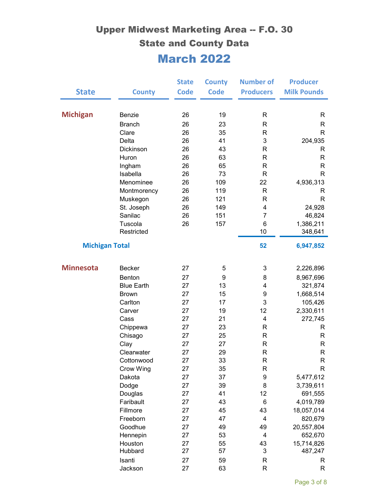|                       |                    | <b>State</b> | <b>County</b> | <b>Number of</b>         | <b>Producer</b>    |
|-----------------------|--------------------|--------------|---------------|--------------------------|--------------------|
| <b>State</b>          | <b>County</b>      | <b>Code</b>  | <b>Code</b>   | <b>Producers</b>         | <b>Milk Pounds</b> |
|                       |                    |              |               |                          |                    |
| <b>Michigan</b>       | Benzie             | 26           | 19            | R                        | R                  |
|                       | <b>Branch</b>      | 26           | 23            | R                        | R                  |
|                       | Clare              | 26           | 35            | $\mathsf{R}$             | $\mathsf{R}$       |
|                       | Delta              | 26           | 41            | 3                        | 204,935            |
|                       | Dickinson          | 26           | 43            | $\mathsf{R}$             | R                  |
|                       | Huron              | 26           | 63            | R                        | R                  |
|                       | Ingham             | 26           | 65            | $\mathsf{R}$             | $\mathsf{R}$       |
|                       | Isabella           | 26           | 73            | $\mathsf{R}$             | $\mathsf{R}$       |
|                       | Menominee          | 26           | 109           | 22                       | 4,936,313          |
|                       | Montmorency        | 26           | 119           | R                        | R                  |
|                       | Muskegon           | 26           | 121           | $\mathsf{R}$             | $\mathsf{R}$       |
|                       | St. Joseph         | 26           | 149           | 4                        | 24,928             |
|                       | Sanilac            | 26           | 151           | $\overline{7}$           | 46,824             |
|                       | Tuscola            | 26           | 157           | 6                        | 1,386,211          |
|                       | Restricted         |              |               | 10                       | 348,641            |
| <b>Michigan Total</b> |                    |              |               | 52                       | 6,947,852          |
| <b>Minnesota</b>      | <b>Becker</b>      | 27           | 5             | 3                        | 2,226,896          |
|                       | Benton             | 27           | 9             | 8                        | 8,967,696          |
|                       | <b>Blue Earth</b>  | 27           | 13            | 4                        | 321,874            |
|                       | <b>Brown</b>       | 27           | 15            | 9                        | 1,668,514          |
|                       | Carlton            | 27           | 17            | 3                        | 105,426            |
|                       | Carver             | 27           | 19            | 12                       | 2,330,611          |
|                       | Cass               | 27           | 21            | 4                        | 272,745            |
|                       | Chippewa           | 27           | 23            | R                        | R                  |
|                       | Chisago            | 27           | 25            | R                        | R                  |
|                       | Clay               | 27           | 27            | $\mathsf{R}$             | R                  |
|                       | Clearwater         | 27           | 29            | $\mathsf{R}$             | R                  |
|                       | Cottonwood         | 27           | 33            | R                        | R                  |
|                       | Crow Wing          | 27           | 35            | R                        | R                  |
|                       | Dakota             | 27           | 37            | $\boldsymbol{9}$         | 5,477,612          |
|                       | Dodge              | 27           | 39            | 8                        | 3,739,611          |
|                       | Douglas            | 27           | 41            | 12                       | 691,555            |
|                       | Faribault          | 27           | 43            | 6                        | 4,019,789          |
|                       | Fillmore           | 27           | 45            | 43                       | 18,057,014         |
|                       | Freeborn           | 27           | 47            | $\overline{4}$           | 820,679            |
|                       | Goodhue            | 27           | 49            | 49                       | 20,557,804         |
|                       | Hennepin           | 27           | 53            | $\overline{\mathcal{A}}$ | 652,670            |
|                       | Houston<br>Hubbard | 27           | 55<br>57      | 43<br>3                  | 15,714,826         |
|                       |                    | 27           |               |                          | 487,247            |
|                       | Isanti             | 27<br>27     | 59<br>63      | R<br>R                   | R<br>R             |
|                       | Jackson            |              |               |                          |                    |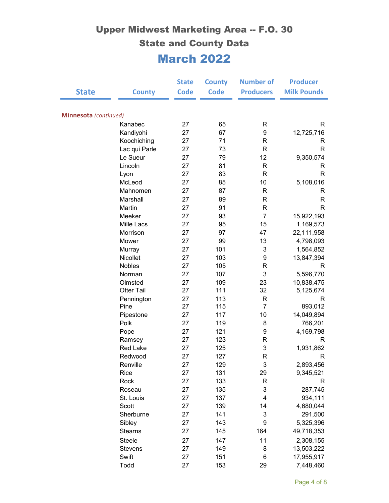|                       |                           | <b>State</b> | <b>County</b> | <b>Number of</b>  | <b>Producer</b>        |
|-----------------------|---------------------------|--------------|---------------|-------------------|------------------------|
| <b>State</b>          | <b>County</b>             | <b>Code</b>  | <b>Code</b>   | <b>Producers</b>  | <b>Milk Pounds</b>     |
| Minnesota (continued) |                           |              |               |                   |                        |
|                       | Kanabec                   | 27           | 65            | R                 | R                      |
|                       | Kandiyohi                 | 27           | 67            | 9                 | 12,725,716             |
|                       | Koochiching               | 27           | 71            | $\mathsf{R}$      | R                      |
|                       | Lac qui Parle             | 27           | 73            | $\mathsf{R}$      | $\mathsf{R}$           |
|                       | Le Sueur                  | 27           | 79            | 12                | 9,350,574              |
|                       | Lincoln                   | 27           | 81            | R                 | R                      |
|                       | Lyon                      | 27           | 83            | $\mathsf{R}$      | $\mathsf{R}$           |
|                       | McLeod                    | 27           | 85            | 10                | 5,108,016              |
|                       | Mahnomen                  | 27           | 87            | $\mathsf{R}$      | R                      |
|                       | Marshall                  | 27           | 89            | R                 | R                      |
|                       | Martin                    | 27           | 91            | $\mathsf{R}$      | R                      |
|                       | Meeker                    | 27           | 93            | $\overline{7}$    | 15,922,193             |
|                       | Mille Lacs                | 27           | 95            | 15                | 1,169,573              |
|                       | Morrison                  | 27           | 97            | 47                | 22,111,958             |
|                       | Mower                     | 27           | 99            | 13                | 4,798,093              |
|                       | Murray                    | 27           | 101           | 3                 | 1,564,852              |
|                       | Nicollet                  | 27           | 103           | 9                 | 13,847,394             |
|                       | Nobles                    | 27           | 105           | R                 | R                      |
|                       | Norman                    | 27           | 107           | 3                 | 5,596,770              |
|                       | Olmsted                   | 27           | 109           | 23                | 10,838,475             |
|                       | <b>Otter Tail</b>         | 27           | 111           | 32                | 5,125,674              |
|                       | Pennington                | 27           | 113           | R                 | R                      |
|                       | Pine                      | 27           | 115           | 7                 | 893,012                |
|                       | Pipestone                 | 27           | 117           | 10                | 14,049,894             |
|                       | Polk                      | 27           | 119           | 8                 | 766,201                |
|                       | Pope                      | 27<br>27     | 121<br>123    | 9<br>$\mathsf{R}$ | 4,169,798              |
|                       | Ramsey<br><b>Red Lake</b> | 27           |               | 3                 | R<br>1,931,862         |
|                       | Redwood                   | 27           | 125<br>127    | R                 | R                      |
|                       |                           | 27           |               |                   |                        |
|                       | Renville<br>Rice          | 27           | 129<br>131    | 3<br>29           | 2,893,456<br>9,345,521 |
|                       | Rock                      | 27           | 133           | R                 | R                      |
|                       | Roseau                    | 27           | 135           | 3                 | 287,745                |
|                       | St. Louis                 | 27           | 137           | 4                 | 934,111                |
|                       | Scott                     | 27           | 139           | 14                | 4,680,044              |
|                       | Sherburne                 | 27           | 141           | 3                 | 291,500                |
|                       | Sibley                    | 27           | 143           | 9                 | 5,325,396              |
|                       | <b>Stearns</b>            | 27           | 145           | 164               | 49,718,353             |
|                       | <b>Steele</b>             | 27           | 147           | 11                | 2,308,155              |
|                       | Stevens                   | 27           | 149           | 8                 | 13,503,222             |
|                       | Swift                     | 27           | 151           | 6                 | 17,955,917             |
|                       | Todd                      | 27           | 153           | 29                | 7,448,460              |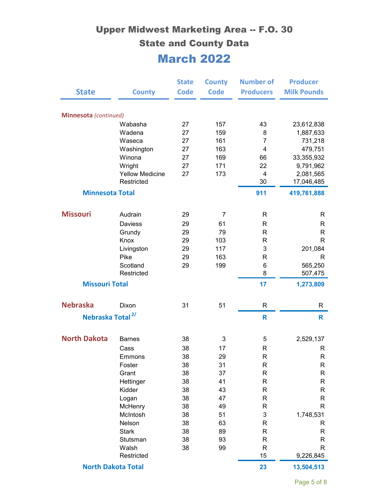| <b>State</b>                 | <b>County</b>          | <b>State</b><br><b>Code</b> | <b>County</b><br><b>Code</b> | <b>Number of</b><br><b>Producers</b> | <b>Producer</b><br><b>Milk Pounds</b> |
|------------------------------|------------------------|-----------------------------|------------------------------|--------------------------------------|---------------------------------------|
|                              |                        |                             |                              |                                      |                                       |
| Minnesota (continued)        |                        |                             |                              |                                      |                                       |
|                              | Wabasha                | 27                          | 157                          | 43                                   | 23,612,838                            |
|                              | Wadena                 | 27                          | 159                          | 8                                    | 1,887,633                             |
|                              | Waseca                 | 27                          | 161                          | $\overline{7}$                       | 731,218                               |
|                              | Washington             | 27                          | 163                          | $\overline{4}$                       | 479,751                               |
|                              | Winona                 | 27                          | 169                          | 66                                   | 33,355,932                            |
|                              | Wright                 | 27                          | 171                          | 22                                   | 9,791,962                             |
|                              | <b>Yellow Medicine</b> | 27                          | 173                          | 4                                    | 2,081,565                             |
|                              | Restricted             |                             |                              | 30                                   | 17,046,485                            |
| <b>Minnesota Total</b>       |                        |                             |                              | 911                                  | 419,761,888                           |
| <b>Missouri</b>              | Audrain                | 29                          | 7                            | R                                    | R                                     |
|                              | Daviess                | 29                          | 61                           | $\mathsf{R}$                         | R                                     |
|                              | Grundy                 | 29                          | 79                           | $\mathsf{R}$                         | $\mathsf{R}$                          |
|                              | Knox                   | 29                          | 103                          | R                                    | R                                     |
|                              | Livingston             | 29                          | 117                          | 3                                    | 201,084                               |
|                              | Pike                   | 29                          | 163                          | $\mathsf{R}$                         | R                                     |
|                              | Scotland               | 29                          | 199                          | 6                                    | 565,250                               |
|                              | Restricted             |                             |                              | 8                                    | 507,475                               |
| <b>Missouri Total</b>        |                        |                             |                              | 17                                   | 1,273,809                             |
| <b>Nebraska</b>              | Dixon                  | 31                          | 51                           | R                                    | R                                     |
| Nebraska Total <sup>2/</sup> |                        |                             |                              | $\mathsf{R}$                         | R                                     |
|                              |                        |                             |                              |                                      |                                       |
| <b>North Dakota</b>          | <b>Barnes</b>          | 38                          | 3                            | 5                                    | 2,529,137                             |
|                              | Cass                   | 38                          | 17                           | $\mathsf{R}$                         | R                                     |
|                              | Emmons                 | 38                          | 29                           | $\mathsf{R}$                         | R                                     |
|                              | Foster                 | 38                          | 31                           | R                                    | R                                     |
|                              | Grant                  | 38                          | 37                           | R                                    | R                                     |
|                              | Hettinger              | 38                          | 41                           | $\mathsf{R}$                         | R                                     |
|                              | Kidder                 | 38                          | 43                           | $\mathsf{R}$                         | R                                     |
|                              | Logan                  | 38                          | 47<br>49                     | R                                    | R<br>R.                               |
|                              | McHenry<br>McIntosh    | 38<br>38                    | 51                           | $\mathsf{R}$<br>3                    |                                       |
|                              | Nelson                 | 38                          | 63                           | R                                    | 1,748,531<br>R                        |
|                              | <b>Stark</b>           | 38                          | 89                           | $\mathsf{R}$                         | R                                     |
|                              | Stutsman               | 38                          | 93                           | $\mathsf{R}$                         | R                                     |
|                              | Walsh                  | 38                          | 99                           | $\mathsf{R}$                         | R                                     |
|                              | Restricted             |                             |                              | 15                                   | 9,226,845                             |
| <b>North Dakota Total</b>    |                        |                             | 23                           | 13,504,513                           |                                       |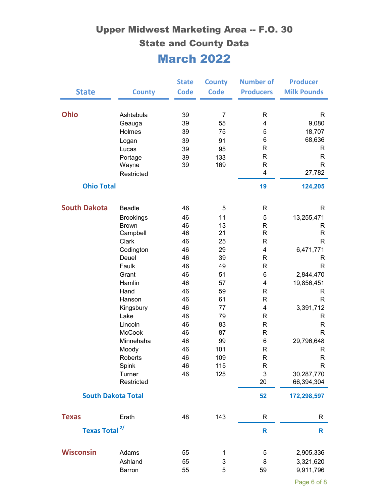| <b>State</b>                       | <b>County</b>                                                                                                                                                                                                                | <b>State</b><br><b>Code</b>                                                                                    | <b>County</b><br><b>Code</b>                                                                                    | <b>Number of</b><br><b>Producers</b>                                                                                                                                                                                                                  | <b>Producer</b><br><b>Milk Pounds</b>                                                                                                                                                      |
|------------------------------------|------------------------------------------------------------------------------------------------------------------------------------------------------------------------------------------------------------------------------|----------------------------------------------------------------------------------------------------------------|-----------------------------------------------------------------------------------------------------------------|-------------------------------------------------------------------------------------------------------------------------------------------------------------------------------------------------------------------------------------------------------|--------------------------------------------------------------------------------------------------------------------------------------------------------------------------------------------|
| <b>Ohio</b><br><b>Ohio Total</b>   | Ashtabula<br>Geauga<br>Holmes<br>Logan<br>Lucas<br>Portage<br>Wayne<br>Restricted                                                                                                                                            | 39<br>39<br>39<br>39<br>39<br>39<br>39                                                                         | $\overline{7}$<br>55<br>75<br>91<br>95<br>133<br>169                                                            | $\mathsf{R}$<br>4<br>5<br>6<br>$\mathsf{R}$<br>$\mathsf{R}$<br>$\mathsf{R}$<br>4<br>19                                                                                                                                                                | R<br>9,080<br>18,707<br>68,636<br>R<br>R<br>$\mathsf{R}$<br>27,782<br>124,205                                                                                                              |
| <b>South Dakota</b>                | Beadle<br><b>Brookings</b><br><b>Brown</b><br>Campbell<br>Clark<br>Codington<br>Deuel<br>Faulk<br>Grant<br>Hamlin<br>Hand<br>Hanson<br>Kingsbury<br>Lake<br>Lincoln<br><b>McCook</b><br>Minnehaha<br>Moody<br><b>Roberts</b> | 46<br>46<br>46<br>46<br>46<br>46<br>46<br>46<br>46<br>46<br>46<br>46<br>46<br>46<br>46<br>46<br>46<br>46<br>46 | 5<br>11<br>13<br>21<br>25<br>29<br>39<br>49<br>51<br>57<br>59<br>61<br>77<br>79<br>83<br>87<br>99<br>101<br>109 | R<br>5<br>$\mathsf{R}$<br>$\mathsf{R}$<br>$\mathsf{R}$<br>4<br>$\mathsf{R}$<br>$\mathsf{R}$<br>6<br>$\overline{\mathbf{4}}$<br>$\mathsf{R}$<br>$\mathsf{R}$<br>4<br>$\mathsf{R}$<br>$\mathsf{R}$<br>$\mathsf{R}$<br>6<br>$\mathsf{R}$<br>$\mathsf{R}$ | R<br>13,255,471<br>R<br>$\mathsf{R}$<br>$\mathsf{R}$<br>6,471,771<br>R<br>$\mathsf{R}$<br>2,844,470<br>19,856,451<br>R<br>R<br>3,391,712<br>R<br>R<br>$\mathsf{R}$<br>29,796,648<br>R<br>R |
| <b>South Dakota Total</b>          | Spink<br>Turner<br>Restricted                                                                                                                                                                                                | 46<br>46                                                                                                       | 115<br>125                                                                                                      | R<br>3<br>20<br>52                                                                                                                                                                                                                                    | R<br>30,287,770<br>66,394,304<br>172,298,597                                                                                                                                               |
| <b>Texas</b><br><b>Texas Total</b> | Erath<br>2/                                                                                                                                                                                                                  | 48                                                                                                             | 143                                                                                                             | R<br>R                                                                                                                                                                                                                                                | R<br>R                                                                                                                                                                                     |
| <b>Wisconsin</b>                   | Adams<br>Ashland<br>Barron                                                                                                                                                                                                   | 55<br>55<br>55                                                                                                 | 1<br>3<br>5                                                                                                     | 5<br>8<br>59                                                                                                                                                                                                                                          | 2,905,336<br>3,321,620<br>9,911,796                                                                                                                                                        |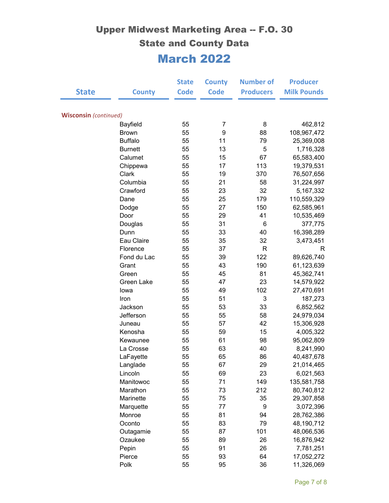|                              |                | <b>State</b> | <b>County</b>  | <b>Number of</b> | <b>Producer</b>    |
|------------------------------|----------------|--------------|----------------|------------------|--------------------|
| <b>State</b>                 | <b>County</b>  | <b>Code</b>  | <b>Code</b>    | <b>Producers</b> | <b>Milk Pounds</b> |
|                              |                |              |                |                  |                    |
| <b>Wisconsin</b> (continued) |                |              |                |                  |                    |
|                              | Bayfield       | 55           | $\overline{7}$ | 8                | 462,812            |
|                              | <b>Brown</b>   | 55           | 9              | 88               | 108,967,472        |
|                              | <b>Buffalo</b> | 55           | 11             | 79               | 25,369,008         |
|                              | <b>Burnett</b> | 55           | 13             | 5                | 1,716,328          |
|                              | Calumet        | 55           | 15             | 67               | 65,583,400         |
|                              | Chippewa       | 55           | 17             | 113              | 19,379,531         |
|                              | Clark          | 55           | 19             | 370              | 76,507,656         |
|                              | Columbia       | 55           | 21             | 58               | 31,224,997         |
|                              | Crawford       | 55           | 23             | 32               | 5, 167, 332        |
|                              | Dane           | 55           | 25             | 179              | 110,559,329        |
|                              | Dodge          | 55           | 27             | 150              | 62,585,961         |
|                              | Door           | 55           | 29             | 41               | 10,535,469         |
|                              | Douglas        | 55           | 31             | 6                | 377,775            |
|                              | Dunn           | 55           | 33             | 40               | 16,398,289         |
|                              | Eau Claire     | 55           | 35             | 32               | 3,473,451          |
|                              | Florence       | 55           | 37             | R                | R                  |
|                              | Fond du Lac    | 55           | 39             | 122              | 89,626,740         |
|                              | Grant          | 55           | 43             | 190              | 61,123,639         |
|                              | Green          | 55           | 45             | 81               | 45,362,741         |
|                              | Green Lake     | 55           | 47             | 23               | 14,579,922         |
|                              | lowa           | 55           | 49             | 102              | 27,470,691         |
|                              | Iron           | 55           | 51             | 3                | 187,273            |
|                              | Jackson        | 55           | 53             | 33               | 6,852,562          |
|                              | Jefferson      | 55           | 55             | 58               | 24,979,034         |
|                              | Juneau         | 55           | 57             | 42               | 15,306,928         |
|                              | Kenosha        | 55           | 59             | 15               | 4,005,322          |
|                              | Kewaunee       | 55           | 61             | 98               | 95,062,809         |
|                              | La Crosse      | 55           | 63             | 40               | 8,241,990          |
|                              | LaFayette      | 55           | 65             | 86               | 40,487,678         |
|                              | Langlade       | 55           | 67             | 29               | 21,014,465         |
|                              | Lincoln        | 55           | 69             | 23               | 6,021,563          |
|                              | Manitowoc      | 55           | 71             | 149              | 135,581,758        |
|                              | Marathon       | 55           | 73             | 212              | 80,740,812         |
|                              | Marinette      | 55           | 75             | 35               | 29,307,858         |
|                              | Marquette      | 55           | 77             | 9                | 3,072,396          |
|                              | Monroe         | 55           | 81             | 94               | 28,762,386         |
|                              | Oconto         | 55           | 83             | 79               | 48,190,712         |
|                              | Outagamie      | 55           | 87             | 101              | 48,066,536         |
|                              | Ozaukee        | 55           | 89             | 26               | 16,876,942         |
|                              | Pepin          | 55           | 91             | 26               | 7,781,251          |
|                              | Pierce         | 55           | 93             | 64               | 17,052,272         |
|                              | Polk           | 55           | 95             | 36               | 11,326,069         |